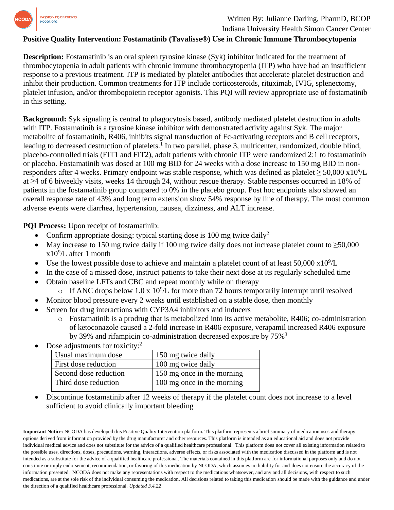

## Written By: Julianne Darling, PharmD, BCOP

Indiana University Health Simon Cancer Center

## **Positive Quality Intervention: Fostamatinib (Tavalisse®) Use in Chronic Immune Thrombocytopenia**

**Description:** Fostamatinib is an oral spleen tyrosine kinase (Syk) inhibitor indicated for the treatment of thrombocytopenia in adult patients with chronic immune thrombocytopenia (ITP) who have had an insufficient response to a previous treatment. ITP is mediated by platelet antibodies that accelerate platelet destruction and inhibit their production. Common treatments for ITP include corticosteroids, rituximab, IVIG, splenectomy, platelet infusion, and/or thrombopoietin receptor agonists. This PQI will review appropriate use of fostamatinib in this setting.

**Background:** Syk signaling is central to phagocytosis based, antibody mediated platelet destruction in adults with ITP. Fostamatinib is a tyrosine kinase inhibitor with demonstrated activity against Syk. The major metabolite of fostamatinib, R406, inhibits signal transduction of Fc-activating receptors and B cell receptors, leading to decreased destruction of platelets.<sup>1</sup> In two parallel, phase 3, multicenter, randomized, double blind, placebo-controlled trials (FIT1 and FIT2), adult patients with chronic ITP were randomized 2:1 to fostamatinib or placebo. Fostamatinib was dosed at 100 mg BID for 24 weeks with a dose increase to 150 mg BID in nonresponders after 4 weeks. Primary endpoint was stable response, which was defined as platelet  $\geq 50,000 \times 10^9$ /L at ≥4 of 6 biweekly visits, weeks 14 through 24, without rescue therapy. Stable responses occurred in 18% of patients in the fostamatinib group compared to 0% in the placebo group. Post hoc endpoints also showed an overall response rate of 43% and long term extension show 54% response by line of therapy. The most common adverse events were diarrhea, hypertension, nausea, dizziness, and ALT increase.

**PQI Process:** Upon receipt of fostamatinib:

- Confirm appropriate dosing: typical starting dose is 100 mg twice daily<sup>2</sup>
- May increase to 150 mg twice daily if 100 mg twice daily does not increase platelet count to  $\geq 50,000$ x10<sup>9</sup> /L after 1 month
- Use the lowest possible dose to achieve and maintain a platelet count of at least  $50,000 \times 10^9$ /L
- In the case of a missed dose, instruct patients to take their next dose at its regularly scheduled time
- Obtain baseline LFTs and CBC and repeat monthly while on therapy
	- $\circ$  If ANC drops below 1.0 x 10<sup>9</sup>/L for more than 72 hours temporarily interrupt until resolved
- Monitor blood pressure every 2 weeks until established on a stable dose, then monthly
- Screen for drug interactions with CYP3A4 inhibitors and inducers
	- o Fostamatinib is a prodrug that is metabolized into its active metabolite, R406; co-administration of ketoconazole caused a 2-fold increase in R406 exposure, verapamil increased R406 exposure by 39% and rifampicin co-administration decreased exposure by 75%<sup>3</sup>

| Dose adjustments for toxicity: $\frac{1}{2}$ |                       |                            |
|----------------------------------------------|-----------------------|----------------------------|
|                                              | Usual maximum dose    | 150 mg twice daily         |
|                                              | First dose reduction  | 100 mg twice daily         |
|                                              | Second dose reduction | 150 mg once in the morning |
|                                              | Third dose reduction  | 100 mg once in the morning |

- Dose adjustments for toxicity:<sup>2</sup>
- Discontinue fostamatinib after 12 weeks of therapy if the platelet count does not increase to a level sufficient to avoid clinically important bleeding

**Important Notice:** NCODA has developed this Positive Quality Intervention platform. This platform represents a brief summary of medication uses and therapy options derived from information provided by the drug manufacturer and other resources. This platform is intended as an educational aid and does not provide individual medical advice and does not substitute for the advice of a qualified healthcare professional. This platform does not cover all existing information related to the possible uses, directions, doses, precautions, warning, interactions, adverse effects, or risks associated with the medication discussed in the platform and is not intended as a substitute for the advice of a qualified healthcare professional. The materials contained in this platform are for informational purposes only and do not constitute or imply endorsement, recommendation, or favoring of this medication by NCODA, which assumes no liability for and does not ensure the accuracy of the information presented. NCODA does not make any representations with respect to the medications whatsoever, and any and all decisions, with respect to such medications, are at the sole risk of the individual consuming the medication. All decisions related to taking this medication should be made with the guidance and under the direction of a qualified healthcare professional. *Updated 3.4.22*